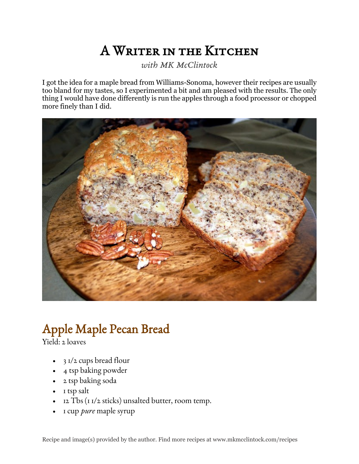## A Writer in the Kitchen

*with MK McClintock*

I got the idea for a maple bread from Williams-Sonoma, however their recipes are usually too bland for my tastes, so I experimented a bit and am pleased with the results. The only thing I would have done differently is run the apples through a food processor or chopped more finely than I did.



## Apple Maple Pecan Bread

Yield: 2 loaves

- 3 1/2 cups bread flour
- 4 tsp baking powder
- 2 tsp baking soda
- 1 tsp salt
- 12 Tbs (1 1/2 sticks) unsalted butter, room temp.
- 1 cup *pure* maple syrup